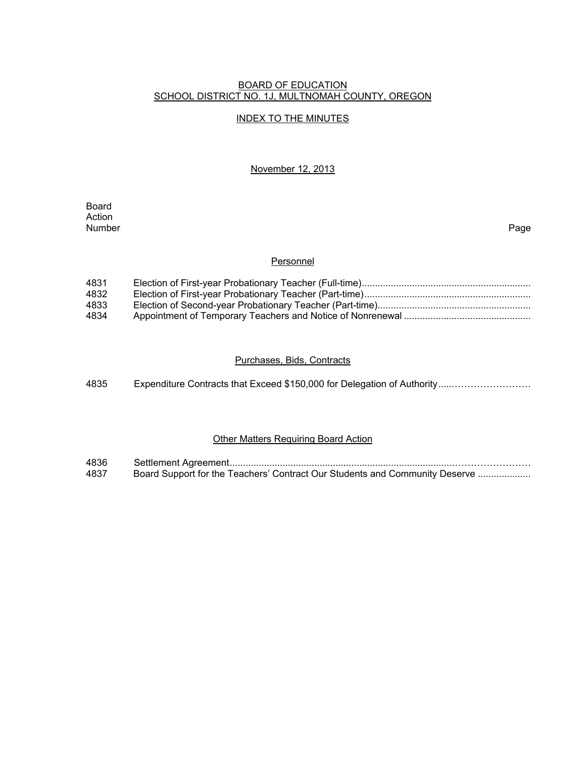#### BOARD OF EDUCATION SCHOOL DISTRICT NO. 1J, MULTNOMAH COUNTY, OREGON

### INDEX TO THE MINUTES

November 12, 2013

**Board Board** Action<br>Number Number Page

#### **Personnel**

| 4831 |  |
|------|--|
| 4832 |  |
| 4833 |  |
| 4834 |  |

## Purchases, Bids, Contracts

| 4835 | Expenditure Contracts that Exceed \$150,000 for Delegation of Authority |
|------|-------------------------------------------------------------------------|
|------|-------------------------------------------------------------------------|

# **Other Matters Requiring Board Action**

| 4836 |                                                                             |
|------|-----------------------------------------------------------------------------|
| 4837 | Board Support for the Teachers' Contract Our Students and Community Deserve |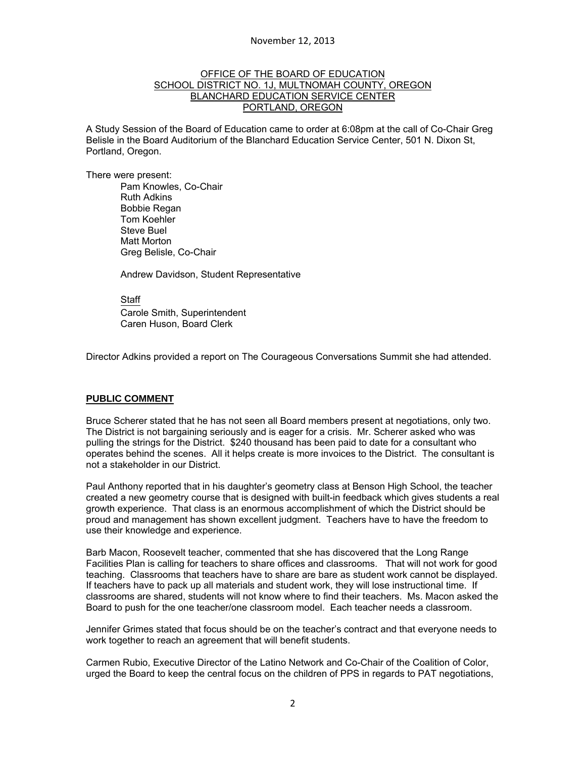#### OFFICE OF THE BOARD OF EDUCATION SCHOOL DISTRICT NO. 1J, MULTNOMAH COUNTY, OREGON BLANCHARD EDUCATION SERVICE CENTER PORTLAND, OREGON

A Study Session of the Board of Education came to order at 6:08pm at the call of Co-Chair Greg Belisle in the Board Auditorium of the Blanchard Education Service Center, 501 N. Dixon St, Portland, Oregon.

There were present: Pam Knowles, Co-Chair Ruth Adkins Bobbie Regan Tom Koehler Steve Buel Matt Morton Greg Belisle, Co-Chair

Andrew Davidson, Student Representative

Staff Carole Smith, Superintendent Caren Huson, Board Clerk

Director Adkins provided a report on The Courageous Conversations Summit she had attended.

### **PUBLIC COMMENT**

Bruce Scherer stated that he has not seen all Board members present at negotiations, only two. The District is not bargaining seriously and is eager for a crisis. Mr. Scherer asked who was pulling the strings for the District. \$240 thousand has been paid to date for a consultant who operates behind the scenes. All it helps create is more invoices to the District. The consultant is not a stakeholder in our District.

Paul Anthony reported that in his daughter's geometry class at Benson High School, the teacher created a new geometry course that is designed with built-in feedback which gives students a real growth experience. That class is an enormous accomplishment of which the District should be proud and management has shown excellent judgment. Teachers have to have the freedom to use their knowledge and experience.

Barb Macon, Roosevelt teacher, commented that she has discovered that the Long Range Facilities Plan is calling for teachers to share offices and classrooms. That will not work for good teaching. Classrooms that teachers have to share are bare as student work cannot be displayed. If teachers have to pack up all materials and student work, they will lose instructional time. If classrooms are shared, students will not know where to find their teachers. Ms. Macon asked the Board to push for the one teacher/one classroom model. Each teacher needs a classroom.

Jennifer Grimes stated that focus should be on the teacher's contract and that everyone needs to work together to reach an agreement that will benefit students.

Carmen Rubio, Executive Director of the Latino Network and Co-Chair of the Coalition of Color, urged the Board to keep the central focus on the children of PPS in regards to PAT negotiations,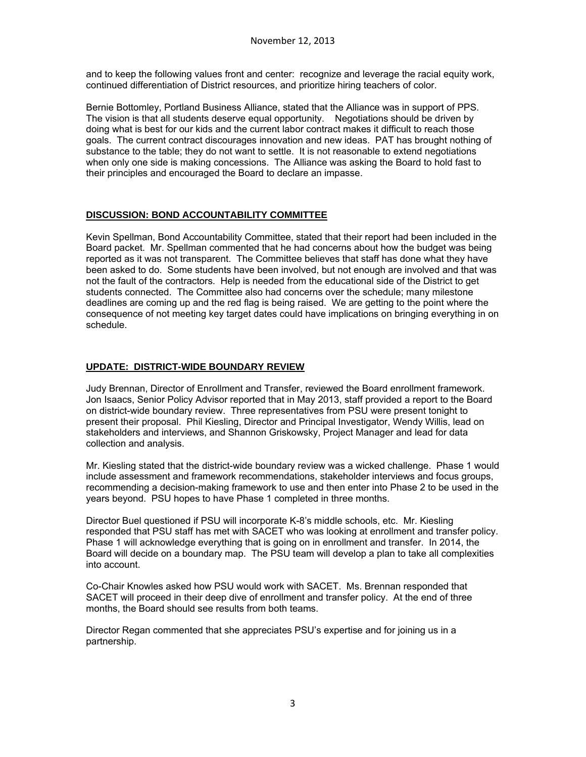and to keep the following values front and center: recognize and leverage the racial equity work, continued differentiation of District resources, and prioritize hiring teachers of color.

Bernie Bottomley, Portland Business Alliance, stated that the Alliance was in support of PPS. The vision is that all students deserve equal opportunity. Negotiations should be driven by doing what is best for our kids and the current labor contract makes it difficult to reach those goals. The current contract discourages innovation and new ideas. PAT has brought nothing of substance to the table; they do not want to settle. It is not reasonable to extend negotiations when only one side is making concessions. The Alliance was asking the Board to hold fast to their principles and encouraged the Board to declare an impasse.

# **DISCUSSION: BOND ACCOUNTABILITY COMMITTEE**

Kevin Spellman, Bond Accountability Committee, stated that their report had been included in the Board packet. Mr. Spellman commented that he had concerns about how the budget was being reported as it was not transparent. The Committee believes that staff has done what they have been asked to do. Some students have been involved, but not enough are involved and that was not the fault of the contractors. Help is needed from the educational side of the District to get students connected. The Committee also had concerns over the schedule; many milestone deadlines are coming up and the red flag is being raised. We are getting to the point where the consequence of not meeting key target dates could have implications on bringing everything in on schedule.

# **UPDATE: DISTRICT-WIDE BOUNDARY REVIEW**

Judy Brennan, Director of Enrollment and Transfer, reviewed the Board enrollment framework. Jon Isaacs, Senior Policy Advisor reported that in May 2013, staff provided a report to the Board on district-wide boundary review. Three representatives from PSU were present tonight to present their proposal. Phil Kiesling, Director and Principal Investigator, Wendy Willis, lead on stakeholders and interviews, and Shannon Griskowsky, Project Manager and lead for data collection and analysis.

Mr. Kiesling stated that the district-wide boundary review was a wicked challenge. Phase 1 would include assessment and framework recommendations, stakeholder interviews and focus groups, recommending a decision-making framework to use and then enter into Phase 2 to be used in the years beyond. PSU hopes to have Phase 1 completed in three months.

Director Buel questioned if PSU will incorporate K-8's middle schools, etc. Mr. Kiesling responded that PSU staff has met with SACET who was looking at enrollment and transfer policy. Phase 1 will acknowledge everything that is going on in enrollment and transfer. In 2014, the Board will decide on a boundary map. The PSU team will develop a plan to take all complexities into account.

Co-Chair Knowles asked how PSU would work with SACET. Ms. Brennan responded that SACET will proceed in their deep dive of enrollment and transfer policy. At the end of three months, the Board should see results from both teams.

Director Regan commented that she appreciates PSU's expertise and for joining us in a partnership.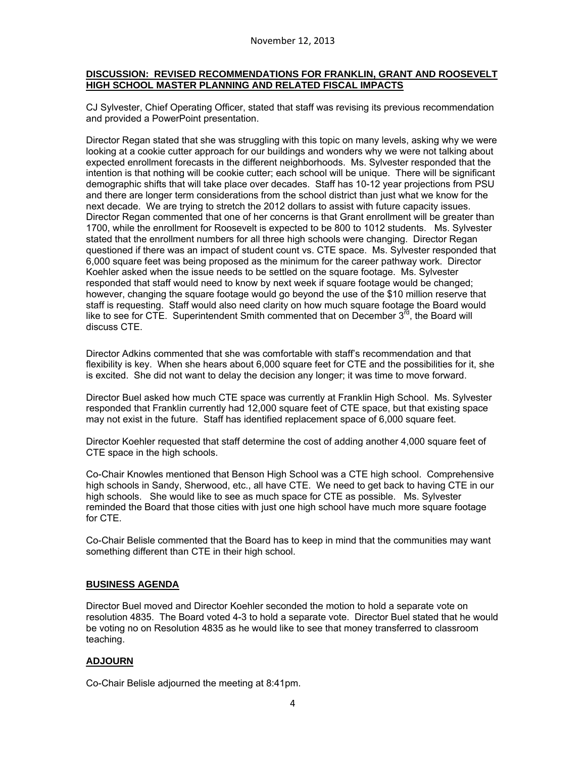### **DISCUSSION: REVISED RECOMMENDATIONS FOR FRANKLIN, GRANT AND ROOSEVELT HIGH SCHOOL MASTER PLANNING AND RELATED FISCAL IMPACTS**

CJ Sylvester, Chief Operating Officer, stated that staff was revising its previous recommendation and provided a PowerPoint presentation.

Director Regan stated that she was struggling with this topic on many levels, asking why we were looking at a cookie cutter approach for our buildings and wonders why we were not talking about expected enrollment forecasts in the different neighborhoods. Ms. Sylvester responded that the intention is that nothing will be cookie cutter; each school will be unique. There will be significant demographic shifts that will take place over decades. Staff has 10-12 year projections from PSU and there are longer term considerations from the school district than just what we know for the next decade. We are trying to stretch the 2012 dollars to assist with future capacity issues. Director Regan commented that one of her concerns is that Grant enrollment will be greater than 1700, while the enrollment for Roosevelt is expected to be 800 to 1012 students. Ms. Sylvester stated that the enrollment numbers for all three high schools were changing. Director Regan questioned if there was an impact of student count vs. CTE space. Ms. Sylvester responded that 6,000 square feet was being proposed as the minimum for the career pathway work. Director Koehler asked when the issue needs to be settled on the square footage. Ms. Sylvester responded that staff would need to know by next week if square footage would be changed; however, changing the square footage would go beyond the use of the \$10 million reserve that staff is requesting. Staff would also need clarity on how much square footage the Board would like to see for CTE. Superintendent Smith commented that on December  $3<sup>rd</sup>$ , the Board will discuss CTE.

Director Adkins commented that she was comfortable with staff's recommendation and that flexibility is key. When she hears about 6,000 square feet for CTE and the possibilities for it, she is excited. She did not want to delay the decision any longer; it was time to move forward.

Director Buel asked how much CTE space was currently at Franklin High School. Ms. Sylvester responded that Franklin currently had 12,000 square feet of CTE space, but that existing space may not exist in the future. Staff has identified replacement space of 6,000 square feet.

Director Koehler requested that staff determine the cost of adding another 4,000 square feet of CTE space in the high schools.

Co-Chair Knowles mentioned that Benson High School was a CTE high school. Comprehensive high schools in Sandy, Sherwood, etc., all have CTE. We need to get back to having CTE in our high schools. She would like to see as much space for CTE as possible. Ms. Sylvester reminded the Board that those cities with just one high school have much more square footage for CTE.

Co-Chair Belisle commented that the Board has to keep in mind that the communities may want something different than CTE in their high school.

### **BUSINESS AGENDA**

Director Buel moved and Director Koehler seconded the motion to hold a separate vote on resolution 4835. The Board voted 4-3 to hold a separate vote. Director Buel stated that he would be voting no on Resolution 4835 as he would like to see that money transferred to classroom teaching.

#### **ADJOURN**

Co-Chair Belisle adjourned the meeting at 8:41pm.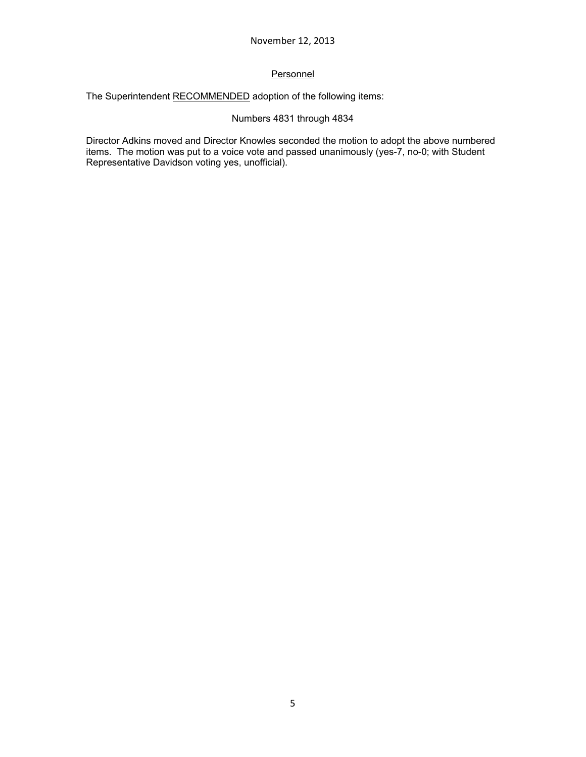# **Personnel**

The Superintendent RECOMMENDED adoption of the following items:

# Numbers 4831 through 4834

Director Adkins moved and Director Knowles seconded the motion to adopt the above numbered items. The motion was put to a voice vote and passed unanimously (yes-7, no-0; with Student Representative Davidson voting yes, unofficial).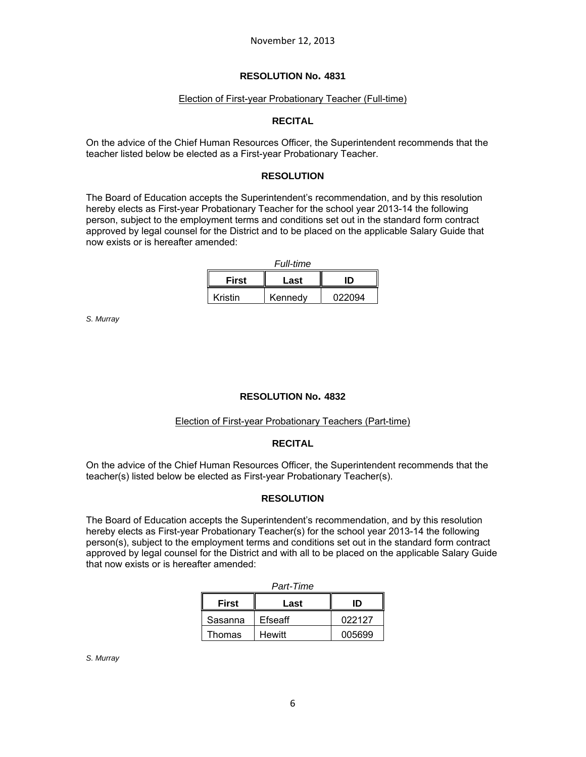#### Election of First-year Probationary Teacher (Full-time)

#### **RECITAL**

On the advice of the Chief Human Resources Officer, the Superintendent recommends that the teacher listed below be elected as a First-year Probationary Teacher.

### **RESOLUTION**

The Board of Education accepts the Superintendent's recommendation, and by this resolution hereby elects as First-year Probationary Teacher for the school year 2013-14 the following person, subject to the employment terms and conditions set out in the standard form contract approved by legal counsel for the District and to be placed on the applicable Salary Guide that now exists or is hereafter amended:

| <b>Full-time</b> |         |        |  |  |
|------------------|---------|--------|--|--|
| <b>First</b>     | חו      |        |  |  |
| Kristin          | Kennedv | 022094 |  |  |

*S. Murray* 

### **RESOLUTION No. 4832**

#### Election of First-year Probationary Teachers (Part-time)

#### **RECITAL**

On the advice of the Chief Human Resources Officer, the Superintendent recommends that the teacher(s) listed below be elected as First-year Probationary Teacher(s).

### **RESOLUTION**

The Board of Education accepts the Superintendent's recommendation, and by this resolution hereby elects as First-year Probationary Teacher(s) for the school year 2013-14 the following person(s), subject to the employment terms and conditions set out in the standard form contract approved by legal counsel for the District and with all to be placed on the applicable Salary Guide that now exists or is hereafter amended:

| Part-Time    |               |        |  |  |
|--------------|---------------|--------|--|--|
| <b>First</b> | Last          | חו     |  |  |
| Sasanna      | Efseaff       | 022127 |  |  |
| Thomas       | <b>Hewitt</b> | 005699 |  |  |

*S. Murray*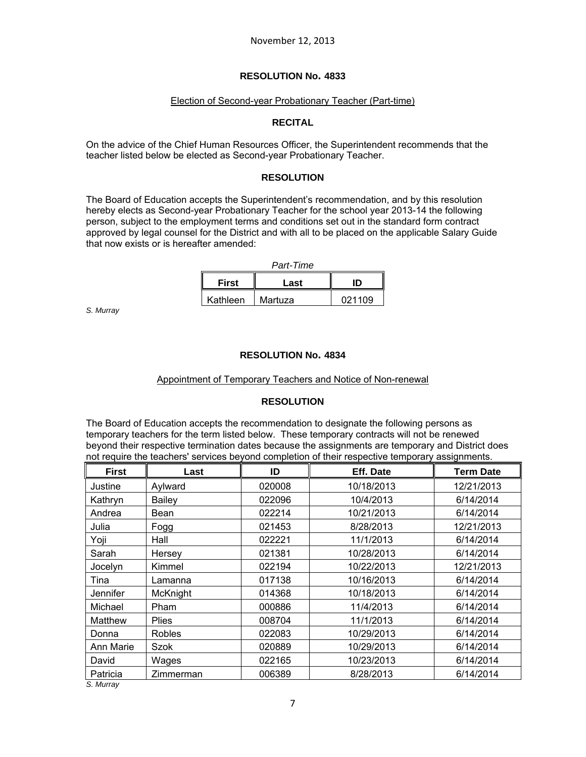### Election of Second-year Probationary Teacher (Part-time)

### **RECITAL**

On the advice of the Chief Human Resources Officer, the Superintendent recommends that the teacher listed below be elected as Second-year Probationary Teacher.

### **RESOLUTION**

The Board of Education accepts the Superintendent's recommendation, and by this resolution hereby elects as Second-year Probationary Teacher for the school year 2013-14 the following person, subject to the employment terms and conditions set out in the standard form contract approved by legal counsel for the District and with all to be placed on the applicable Salary Guide that now exists or is hereafter amended:

| Part-Time    |         |        |  |  |
|--------------|---------|--------|--|--|
| <b>First</b> | Last    | חו     |  |  |
| Kathleen     | Martuza | 021109 |  |  |

*S. Murray*

### **RESOLUTION No. 4834**

#### Appointment of Temporary Teachers and Notice of Non-renewal

### **RESOLUTION**

The Board of Education accepts the recommendation to designate the following persons as temporary teachers for the term listed below. These temporary contracts will not be renewed beyond their respective termination dates because the assignments are temporary and District does not require the teachers' services beyond completion of their respective temporary assignments.

| <b>First</b> | Last          | ID     | Eff. Date  | <b>Term Date</b> |
|--------------|---------------|--------|------------|------------------|
| Justine      | Aylward       | 020008 | 10/18/2013 | 12/21/2013       |
| Kathryn      | Bailey        | 022096 | 10/4/2013  | 6/14/2014        |
| Andrea       | Bean          | 022214 | 10/21/2013 | 6/14/2014        |
| Julia        | Fogg          | 021453 | 8/28/2013  | 12/21/2013       |
| Yoji         | Hall          | 022221 | 11/1/2013  | 6/14/2014        |
| Sarah        | Hersey        | 021381 | 10/28/2013 | 6/14/2014        |
| Jocelyn      | Kimmel        | 022194 | 10/22/2013 | 12/21/2013       |
| Tina         | Lamanna       | 017138 | 10/16/2013 | 6/14/2014        |
| Jennifer     | McKnight      | 014368 | 10/18/2013 | 6/14/2014        |
| Michael      | Pham          | 000886 | 11/4/2013  | 6/14/2014        |
| Matthew      | <b>Plies</b>  | 008704 | 11/1/2013  | 6/14/2014        |
| Donna        | <b>Robles</b> | 022083 | 10/29/2013 | 6/14/2014        |
| Ann Marie    | <b>Szok</b>   | 020889 | 10/29/2013 | 6/14/2014        |
| David        | Wages         | 022165 | 10/23/2013 | 6/14/2014        |
| Patricia     | Zimmerman     | 006389 | 8/28/2013  | 6/14/2014        |
| S. Murray    |               |        |            |                  |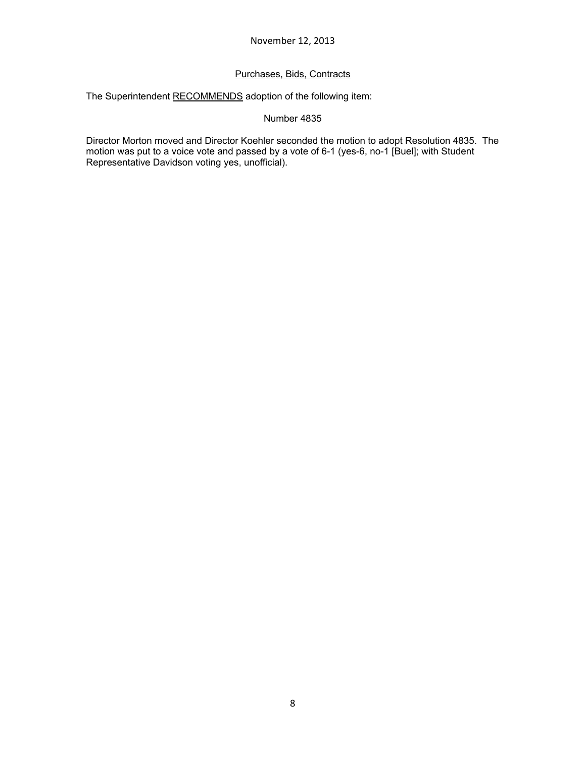## Purchases, Bids, Contracts

The Superintendent RECOMMENDS adoption of the following item:

### Number 4835

Director Morton moved and Director Koehler seconded the motion to adopt Resolution 4835. The motion was put to a voice vote and passed by a vote of 6-1 (yes-6, no-1 [Buel]; with Student Representative Davidson voting yes, unofficial).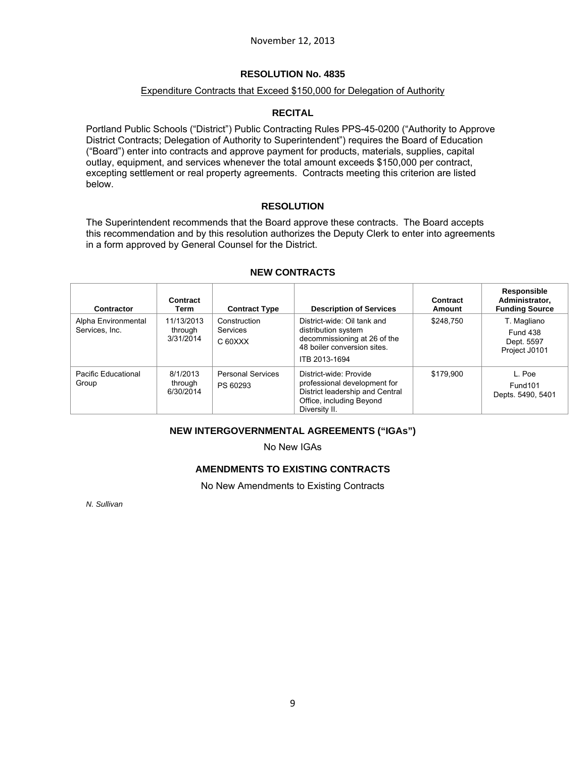### Expenditure Contracts that Exceed \$150,000 for Delegation of Authority

## **RECITAL**

Portland Public Schools ("District") Public Contracting Rules PPS-45-0200 ("Authority to Approve District Contracts; Delegation of Authority to Superintendent") requires the Board of Education ("Board") enter into contracts and approve payment for products, materials, supplies, capital outlay, equipment, and services whenever the total amount exceeds \$150,000 per contract, excepting settlement or real property agreements. Contracts meeting this criterion are listed below.

## **RESOLUTION**

The Superintendent recommends that the Board approve these contracts. The Board accepts this recommendation and by this resolution authorizes the Deputy Clerk to enter into agreements in a form approved by General Counsel for the District.

| Contractor                            | Contract<br>Term                   | <b>Contract Type</b>                 | <b>Description of Services</b>                                                                                                         | Contract<br>Amount | Responsible<br>Administrator,<br><b>Funding Source</b>        |
|---------------------------------------|------------------------------------|--------------------------------------|----------------------------------------------------------------------------------------------------------------------------------------|--------------------|---------------------------------------------------------------|
| Alpha Environmental<br>Services, Inc. | 11/13/2013<br>through<br>3/31/2014 | Construction<br>Services<br>C 60XXX  | District-wide: Oil tank and<br>distribution system<br>decommissioning at 26 of the<br>48 boiler conversion sites.<br>ITB 2013-1694     | \$248.750          | T. Magliano<br><b>Fund 438</b><br>Dept. 5597<br>Project J0101 |
| Pacific Educational<br>Group          | 8/1/2013<br>through<br>6/30/2014   | <b>Personal Services</b><br>PS 60293 | District-wide: Provide<br>professional development for<br>District leadership and Central<br>Office, including Beyond<br>Diversity II. | \$179.900          | L. Poe<br>Fund <sub>101</sub><br>Depts. 5490, 5401            |

### **NEW CONTRACTS**

### **NEW INTERGOVERNMENTAL AGREEMENTS ("IGAs")**

No New IGAs

# **AMENDMENTS TO EXISTING CONTRACTS**

No New Amendments to Existing Contracts

*N. Sullivan*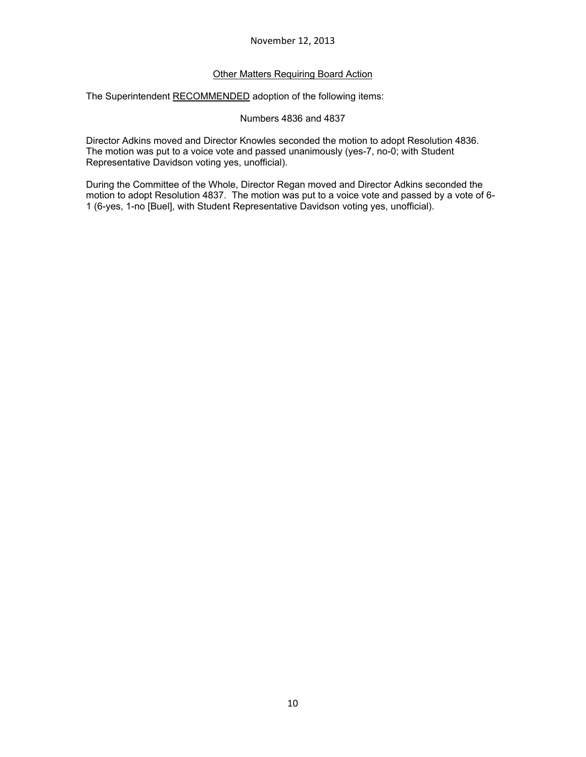## Other Matters Requiring Board Action

The Superintendent RECOMMENDED adoption of the following items:

Numbers 4836 and 4837

Director Adkins moved and Director Knowles seconded the motion to adopt Resolution 4836. The motion was put to a voice vote and passed unanimously (yes-7, no-0; with Student Representative Davidson voting yes, unofficial).

During the Committee of the Whole, Director Regan moved and Director Adkins seconded the motion to adopt Resolution 4837. The motion was put to a voice vote and passed by a vote of 6- 1 (6-yes, 1-no [Buel], with Student Representative Davidson voting yes, unofficial).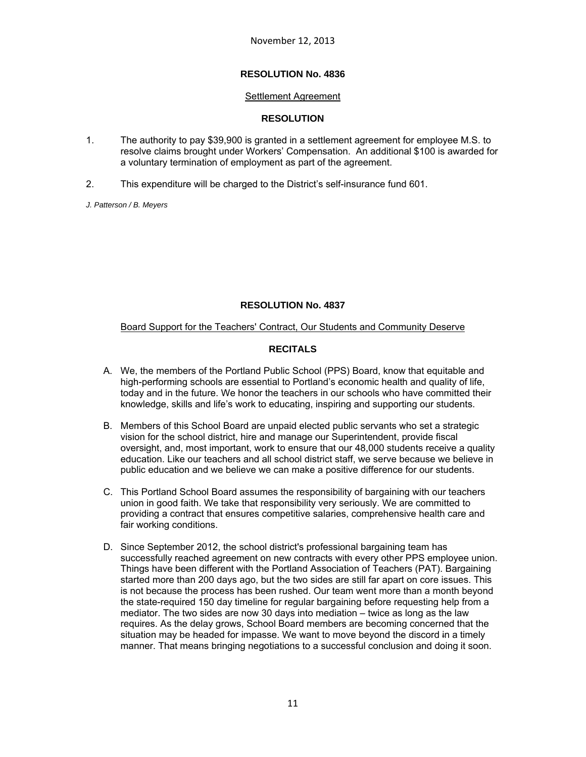#### Settlement Agreement

### **RESOLUTION**

- 1. The authority to pay \$39,900 is granted in a settlement agreement for employee M.S. to resolve claims brought under Workers' Compensation. An additional \$100 is awarded for a voluntary termination of employment as part of the agreement.
- 2. This expenditure will be charged to the District's self-insurance fund 601.

*J. Patterson / B. Meyers* 

### **RESOLUTION No. 4837**

### Board Support for the Teachers' Contract, Our Students and Community Deserve

## **RECITALS**

- A. We, the members of the Portland Public School (PPS) Board, know that equitable and high-performing schools are essential to Portland's economic health and quality of life, today and in the future. We honor the teachers in our schools who have committed their knowledge, skills and life's work to educating, inspiring and supporting our students.
- B. Members of this School Board are unpaid elected public servants who set a strategic vision for the school district, hire and manage our Superintendent, provide fiscal oversight, and, most important, work to ensure that our 48,000 students receive a quality education. Like our teachers and all school district staff, we serve because we believe in public education and we believe we can make a positive difference for our students.
- C. This Portland School Board assumes the responsibility of bargaining with our teachers union in good faith. We take that responsibility very seriously. We are committed to providing a contract that ensures competitive salaries, comprehensive health care and fair working conditions.
- D. Since September 2012, the school district's professional bargaining team has successfully reached agreement on new contracts with every other PPS employee union. Things have been different with the Portland Association of Teachers (PAT). Bargaining started more than 200 days ago, but the two sides are still far apart on core issues. This is not because the process has been rushed. Our team went more than a month beyond the state-required 150 day timeline for regular bargaining before requesting help from a mediator. The two sides are now 30 days into mediation – twice as long as the law requires. As the delay grows, School Board members are becoming concerned that the situation may be headed for impasse. We want to move beyond the discord in a timely manner. That means bringing negotiations to a successful conclusion and doing it soon.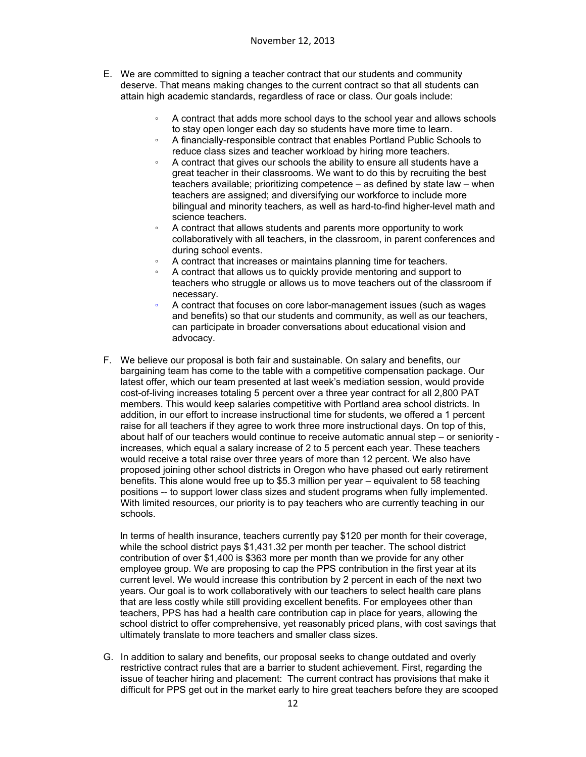- E. We are committed to signing a teacher contract that our students and community deserve. That means making changes to the current contract so that all students can attain high academic standards, regardless of race or class. Our goals include:
	- A contract that adds more school days to the school year and allows schools to stay open longer each day so students have more time to learn.
	- A financially-responsible contract that enables Portland Public Schools to reduce class sizes and teacher workload by hiring more teachers.
	- A contract that gives our schools the ability to ensure all students have a great teacher in their classrooms. We want to do this by recruiting the best teachers available; prioritizing competence – as defined by state law – when teachers are assigned; and diversifying our workforce to include more bilingual and minority teachers, as well as hard-to-find higher-level math and science teachers.
	- A contract that allows students and parents more opportunity to work collaboratively with all teachers, in the classroom, in parent conferences and during school events.
	- A contract that increases or maintains planning time for teachers.
	- A contract that allows us to quickly provide mentoring and support to teachers who struggle or allows us to move teachers out of the classroom if necessary.
	- A contract that focuses on core labor-management issues (such as wages and benefits) so that our students and community, as well as our teachers, can participate in broader conversations about educational vision and advocacy.
- F. We believe our proposal is both fair and sustainable. On salary and benefits, our bargaining team has come to the table with a competitive compensation package. Our latest offer, which our team presented at last week's mediation session, would provide cost-of-living increases totaling 5 percent over a three year contract for all 2,800 PAT members. This would keep salaries competitive with Portland area school districts. In addition, in our effort to increase instructional time for students, we offered a 1 percent raise for all teachers if they agree to work three more instructional days. On top of this, about half of our teachers would continue to receive automatic annual step – or seniority increases, which equal a salary increase of 2 to 5 percent each year. These teachers would receive a total raise over three years of more than 12 percent. We also have proposed joining other school districts in Oregon who have phased out early retirement benefits. This alone would free up to \$5.3 million per year – equivalent to 58 teaching positions -- to support lower class sizes and student programs when fully implemented. With limited resources, our priority is to pay teachers who are currently teaching in our schools.

In terms of health insurance, teachers currently pay \$120 per month for their coverage, while the school district pays \$1,431.32 per month per teacher. The school district contribution of over \$1,400 is \$363 more per month than we provide for any other employee group. We are proposing to cap the PPS contribution in the first year at its current level. We would increase this contribution by 2 percent in each of the next two years. Our goal is to work collaboratively with our teachers to select health care plans that are less costly while still providing excellent benefits. For employees other than teachers, PPS has had a health care contribution cap in place for years, allowing the school district to offer comprehensive, yet reasonably priced plans, with cost savings that ultimately translate to more teachers and smaller class sizes.

G. In addition to salary and benefits, our proposal seeks to change outdated and overly restrictive contract rules that are a barrier to student achievement. First, regarding the issue of teacher hiring and placement: The current contract has provisions that make it difficult for PPS get out in the market early to hire great teachers before they are scooped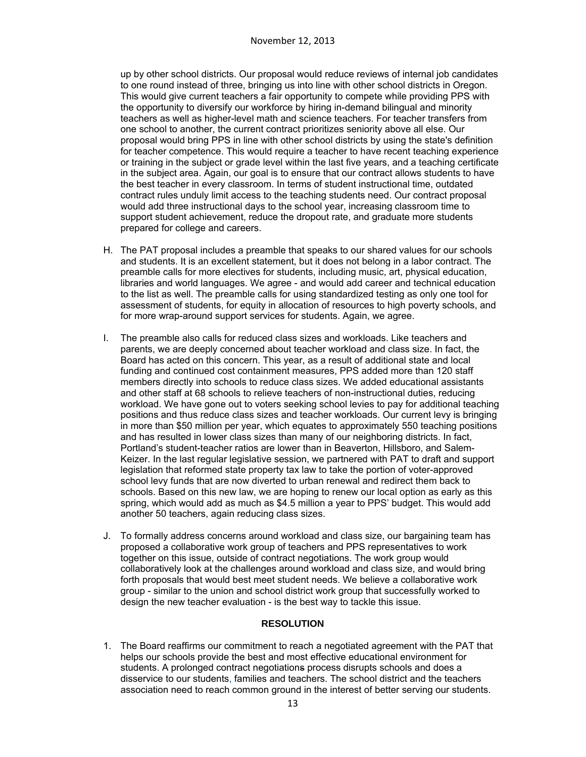up by other school districts. Our proposal would reduce reviews of internal job candidates to one round instead of three, bringing us into line with other school districts in Oregon. This would give current teachers a fair opportunity to compete while providing PPS with the opportunity to diversify our workforce by hiring in-demand bilingual and minority teachers as well as higher-level math and science teachers. For teacher transfers from one school to another, the current contract prioritizes seniority above all else. Our proposal would bring PPS in line with other school districts by using the state's definition for teacher competence. This would require a teacher to have recent teaching experience or training in the subject or grade level within the last five years, and a teaching certificate in the subject area. Again, our goal is to ensure that our contract allows students to have the best teacher in every classroom. In terms of student instructional time, outdated contract rules unduly limit access to the teaching students need. Our contract proposal would add three instructional days to the school year, increasing classroom time to support student achievement, reduce the dropout rate, and graduate more students prepared for college and careers.

- H. The PAT proposal includes a preamble that speaks to our shared values for our schools and students. It is an excellent statement, but it does not belong in a labor contract. The preamble calls for more electives for students, including music, art, physical education, libraries and world languages. We agree - and would add career and technical education to the list as well. The preamble calls for using standardized testing as only one tool for assessment of students, for equity in allocation of resources to high poverty schools, and for more wrap-around support services for students. Again, we agree.
- I. The preamble also calls for reduced class sizes and workloads. Like teachers and parents, we are deeply concerned about teacher workload and class size. In fact, the Board has acted on this concern. This year, as a result of additional state and local funding and continued cost containment measures, PPS added more than 120 staff members directly into schools to reduce class sizes. We added educational assistants and other staff at 68 schools to relieve teachers of non-instructional duties, reducing workload. We have gone out to voters seeking school levies to pay for additional teaching positions and thus reduce class sizes and teacher workloads. Our current levy is bringing in more than \$50 million per year, which equates to approximately 550 teaching positions and has resulted in lower class sizes than many of our neighboring districts. In fact, Portland's student-teacher ratios are lower than in Beaverton, Hillsboro, and Salem-Keizer. In the last regular legislative session, we partnered with PAT to draft and support legislation that reformed state property tax law to take the portion of voter-approved school levy funds that are now diverted to urban renewal and redirect them back to schools. Based on this new law, we are hoping to renew our local option as early as this spring, which would add as much as \$4.5 million a year to PPS' budget. This would add another 50 teachers, again reducing class sizes.
- J. To formally address concerns around workload and class size, our bargaining team has proposed a collaborative work group of teachers and PPS representatives to work together on this issue, outside of contract negotiations. The work group would collaboratively look at the challenges around workload and class size, and would bring forth proposals that would best meet student needs. We believe a collaborative work group - similar to the union and school district work group that successfully worked to design the new teacher evaluation - is the best way to tackle this issue.

### **RESOLUTION**

1. The Board reaffirms our commitment to reach a negotiated agreement with the PAT that helps our schools provide the best and most effective educational environment for students. A prolonged contract negotiations process disrupts schools and does a disservice to our students, families and teachers. The school district and the teachers association need to reach common ground in the interest of better serving our students.